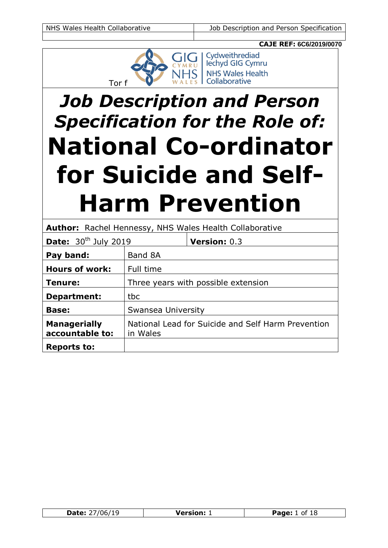

# *Job Description and Person Specification for the Role of:* **National Co-ordinator for Suicide and Self-Harm Prevention**

|                                        | <b>Author:</b> Rachel Hennessy, NHS Wales Health Collaborative |                     |
|----------------------------------------|----------------------------------------------------------------|---------------------|
| <b>Date:</b> $30th$ July 2019          |                                                                | <b>Version: 0.3</b> |
| Pay band:                              | Band 8A                                                        |                     |
| <b>Hours of work:</b>                  | Full time                                                      |                     |
| Tenure:                                | Three years with possible extension                            |                     |
| <b>Department:</b>                     | tbc                                                            |                     |
| <b>Base:</b>                           | Swansea University                                             |                     |
| <b>Managerially</b><br>accountable to: | National Lead for Suicide and Self Harm Prevention<br>in Wales |                     |
| <b>Reports to:</b>                     |                                                                |                     |

| Date :<br>הו | Varcion: | Page:<br>nt |
|--------------|----------|-------------|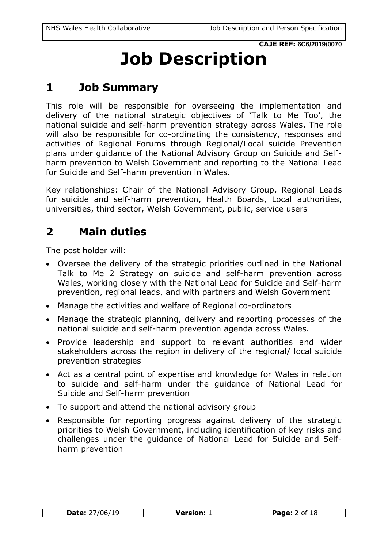# **Job Description**

# **1 Job Summary**

This role will be responsible for overseeing the implementation and delivery of the national strategic objectives of 'Talk to Me Too', the national suicide and self-harm prevention strategy across Wales. The role will also be responsible for co-ordinating the consistency, responses and activities of Regional Forums through Regional/Local suicide Prevention plans under guidance of the National Advisory Group on Suicide and Selfharm prevention to Welsh Government and reporting to the National Lead for Suicide and Self-harm prevention in Wales.

Key relationships: Chair of the National Advisory Group, Regional Leads for suicide and self-harm prevention, Health Boards, Local authorities, universities, third sector, Welsh Government, public, service users

# **2 Main duties**

- Oversee the delivery of the strategic priorities outlined in the National Talk to Me 2 Strategy on suicide and self-harm prevention across Wales, working closely with the National Lead for Suicide and Self-harm prevention, regional leads, and with partners and Welsh Government
- Manage the activities and welfare of Regional co-ordinators
- Manage the strategic planning, delivery and reporting processes of the national suicide and self-harm prevention agenda across Wales.
- Provide leadership and support to relevant authorities and wider stakeholders across the region in delivery of the regional/ local suicide prevention strategies
- Act as a central point of expertise and knowledge for Wales in relation to suicide and self-harm under the guidance of National Lead for Suicide and Self-harm prevention
- To support and attend the national advisory group
- Responsible for reporting progress against delivery of the strategic priorities to Welsh Government, including identification of key risks and challenges under the guidance of National Lead for Suicide and Selfharm prevention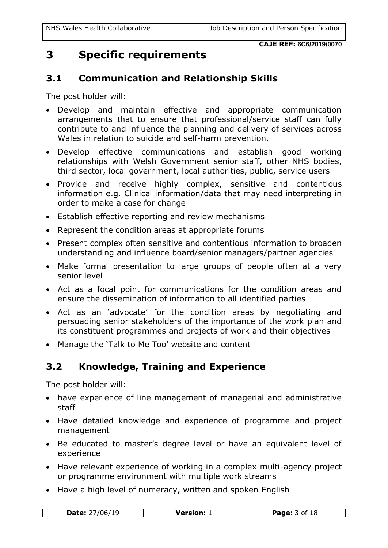# **3 Specific requirements**

### **3.1 Communication and Relationship Skills**

The post holder will:

- Develop and maintain effective and appropriate communication arrangements that to ensure that professional/service staff can fully contribute to and influence the planning and delivery of services across Wales in relation to suicide and self-harm prevention.
- Develop effective communications and establish good working relationships with Welsh Government senior staff, other NHS bodies, third sector, local government, local authorities, public, service users
- Provide and receive highly complex, sensitive and contentious information e.g. Clinical information/data that may need interpreting in order to make a case for change
- Establish effective reporting and review mechanisms
- Represent the condition areas at appropriate forums
- Present complex often sensitive and contentious information to broaden understanding and influence board/senior managers/partner agencies
- Make formal presentation to large groups of people often at a very senior level
- Act as a focal point for communications for the condition areas and ensure the dissemination of information to all identified parties
- Act as an 'advocate' for the condition areas by negotiating and persuading senior stakeholders of the importance of the work plan and its constituent programmes and projects of work and their objectives
- Manage the 'Talk to Me Too' website and content

# **3.2 Knowledge, Training and Experience**

- have experience of line management of managerial and administrative staff
- Have detailed knowledge and experience of programme and project management
- Be educated to master's degree level or have an equivalent level of experience
- Have relevant experience of working in a complex multi-agency project or programme environment with multiple work streams
- Have a high level of numeracy, written and spoken English

| Date:<br>'U6/.<br>- - | Version: | Page:<br>O1<br>18 |
|-----------------------|----------|-------------------|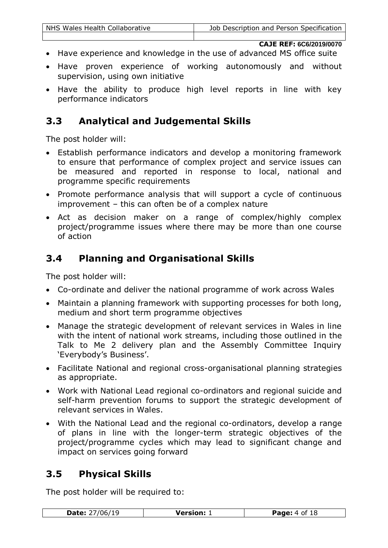- Have experience and knowledge in the use of advanced MS office suite
- Have proven experience of working autonomously and without supervision, using own initiative
- Have the ability to produce high level reports in line with key performance indicators

#### **3.3 Analytical and Judgemental Skills**

The post holder will:

- Establish performance indicators and develop a monitoring framework to ensure that performance of complex project and service issues can be measured and reported in response to local, national and programme specific requirements
- Promote performance analysis that will support a cycle of continuous improvement – this can often be of a complex nature
- Act as decision maker on a range of complex/highly complex project/programme issues where there may be more than one course of action

### **3.4 Planning and Organisational Skills**

The post holder will:

- Co-ordinate and deliver the national programme of work across Wales
- Maintain a planning framework with supporting processes for both long, medium and short term programme objectives
- Manage the strategic development of relevant services in Wales in line with the intent of national work streams, including those outlined in the Talk to Me 2 delivery plan and the Assembly Committee Inquiry 'Everybody's Business'.
- Facilitate National and regional cross-organisational planning strategies as appropriate.
- Work with National Lead regional co-ordinators and regional suicide and self-harm prevention forums to support the strategic development of relevant services in Wales.
- With the National Lead and the regional co-ordinators, develop a range of plans in line with the longer-term strategic objectives of the project/programme cycles which may lead to significant change and impact on services going forward

### **3.5 Physical Skills**

The post holder will be required to:

| <b>Date: 27/06/19</b><br><b>Page:</b> 4 of 18<br><b>Version:</b> 1 |  |  |
|--------------------------------------------------------------------|--|--|
|--------------------------------------------------------------------|--|--|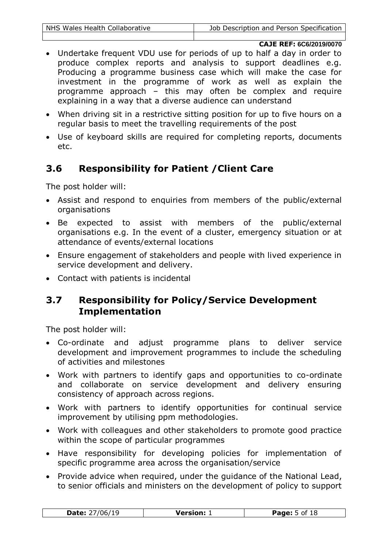- Undertake frequent VDU use for periods of up to half a day in order to produce complex reports and analysis to support deadlines e.g. Producing a programme business case which will make the case for investment in the programme of work as well as explain the programme approach – this may often be complex and require explaining in a way that a diverse audience can understand
- When driving sit in a restrictive sitting position for up to five hours on a regular basis to meet the travelling requirements of the post
- Use of keyboard skills are required for completing reports, documents etc.

### **3.6 Responsibility for Patient /Client Care**

The post holder will:

- Assist and respond to enquiries from members of the public/external organisations
- Be expected to assist with members of the public/external organisations e.g. In the event of a cluster, emergency situation or at attendance of events/external locations
- Ensure engagement of stakeholders and people with lived experience in service development and delivery.
- Contact with patients is incidental

### **3.7 Responsibility for Policy/Service Development Implementation**

- Co-ordinate and adjust programme plans to deliver service development and improvement programmes to include the scheduling of activities and milestones
- Work with partners to identify gaps and opportunities to co-ordinate and collaborate on service development and delivery ensuring consistency of approach across regions.
- Work with partners to identify opportunities for continual service improvement by utilising ppm methodologies.
- Work with colleagues and other stakeholders to promote good practice within the scope of particular programmes
- Have responsibility for developing policies for implementation of specific programme area across the organisation/service
- Provide advice when required, under the quidance of the National Lead, to senior officials and ministers on the development of policy to support

|              | reian:       |
|--------------|--------------|
|              | <b>D</b> 300 |
| vate:        | .            |
| $\mathbf{r}$ | ᅩ            |
| - -          |              |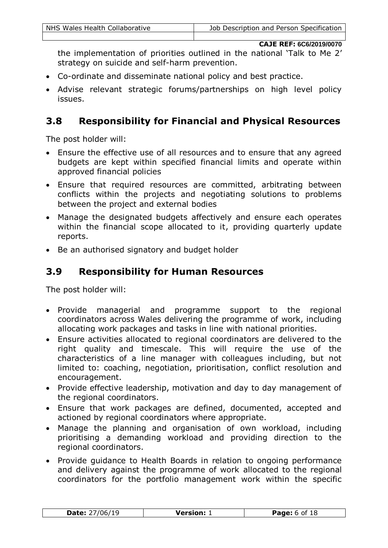the implementation of priorities outlined in the national 'Talk to Me 2' strategy on suicide and self-harm prevention.

- Co-ordinate and disseminate national policy and best practice.
- Advise relevant strategic forums/partnerships on high level policy issues.

#### **3.8 Responsibility for Financial and Physical Resources**

The post holder will:

- Ensure the effective use of all resources and to ensure that any agreed budgets are kept within specified financial limits and operate within approved financial policies
- Ensure that required resources are committed, arbitrating between conflicts within the projects and negotiating solutions to problems between the project and external bodies
- Manage the designated budgets affectively and ensure each operates within the financial scope allocated to it, providing quarterly update reports.
- Be an authorised signatory and budget holder

#### **3.9 Responsibility for Human Resources**

- Provide managerial and programme support to the regional coordinators across Wales delivering the programme of work, including allocating work packages and tasks in line with national priorities.
- Ensure activities allocated to regional coordinators are delivered to the right quality and timescale. This will require the use of the characteristics of a line manager with colleagues including, but not limited to: coaching, negotiation, prioritisation, conflict resolution and encouragement.
- Provide effective leadership, motivation and day to day management of the regional coordinators.
- Ensure that work packages are defined, documented, accepted and actioned by regional coordinators where appropriate.
- Manage the planning and organisation of own workload, including prioritising a demanding workload and providing direction to the regional coordinators.
- Provide guidance to Health Boards in relation to ongoing performance and delivery against the programme of work allocated to the regional coordinators for the portfolio management work within the specific

| $\sqrt{ }$<br>Date:<br><b>Version:</b><br>Page:<br>$\sim$ |
|-----------------------------------------------------------|
|-----------------------------------------------------------|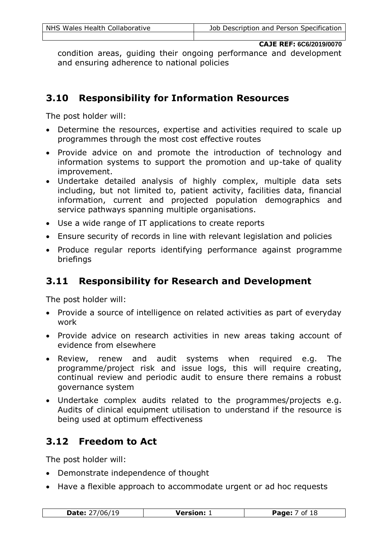condition areas, guiding their ongoing performance and development and ensuring adherence to national policies

### **3.10 Responsibility for Information Resources**

The post holder will:

- Determine the resources, expertise and activities required to scale up programmes through the most cost effective routes
- Provide advice on and promote the introduction of technology and information systems to support the promotion and up-take of quality improvement.
- Undertake detailed analysis of highly complex, multiple data sets including, but not limited to, patient activity, facilities data, financial information, current and projected population demographics and service pathways spanning multiple organisations.
- Use a wide range of IT applications to create reports
- Ensure security of records in line with relevant legislation and policies
- Produce regular reports identifying performance against programme briefings

### **3.11 Responsibility for Research and Development**

The post holder will:

- Provide a source of intelligence on related activities as part of everyday work
- Provide advice on research activities in new areas taking account of evidence from elsewhere
- Review, renew and audit systems when required e.g. The programme/project risk and issue logs, this will require creating, continual review and periodic audit to ensure there remains a robust governance system
- Undertake complex audits related to the programmes/projects e.g. Audits of clinical equipment utilisation to understand if the resource is being used at optimum effectiveness

### **3.12 Freedom to Act**

- Demonstrate independence of thought
- Have a flexible approach to accommodate urgent or ad hoc requests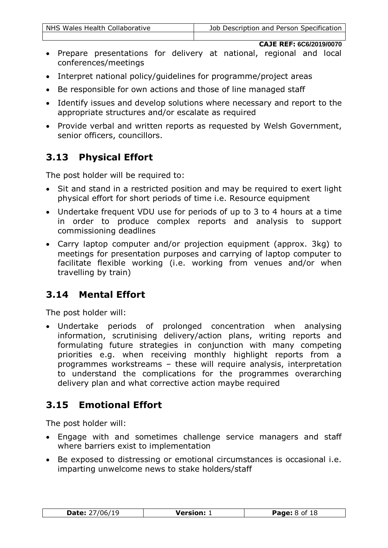- Prepare presentations for delivery at national, regional and local conferences/meetings
- Interpret national policy/guidelines for programme/project areas
- Be responsible for own actions and those of line managed staff
- Identify issues and develop solutions where necessary and report to the appropriate structures and/or escalate as required
- Provide verbal and written reports as requested by Welsh Government, senior officers, councillors.

# **3.13 Physical Effort**

The post holder will be required to:

- Sit and stand in a restricted position and may be required to exert light physical effort for short periods of time i.e. Resource equipment
- Undertake frequent VDU use for periods of up to 3 to 4 hours at a time in order to produce complex reports and analysis to support commissioning deadlines
- Carry laptop computer and/or projection equipment (approx. 3kg) to meetings for presentation purposes and carrying of laptop computer to facilitate flexible working (i.e. working from venues and/or when travelling by train)

# **3.14 Mental Effort**

The post holder will:

 Undertake periods of prolonged concentration when analysing information, scrutinising delivery/action plans, writing reports and formulating future strategies in conjunction with many competing priorities e.g. when receiving monthly highlight reports from a programmes workstreams – these will require analysis, interpretation to understand the complications for the programmes overarching delivery plan and what corrective action maybe required

### **3.15 Emotional Effort**

- Engage with and sometimes challenge service managers and staff where barriers exist to implementation
- Be exposed to distressing or emotional circumstances is occasional i.e. imparting unwelcome news to stake holders/staff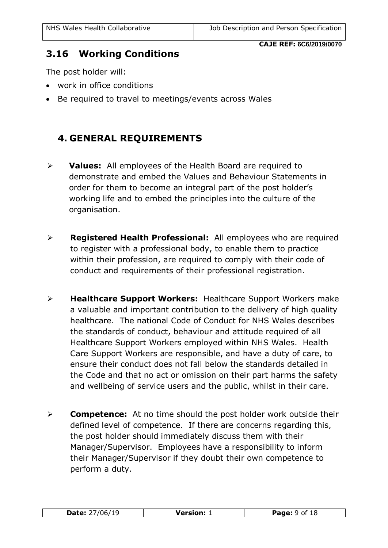#### **3.16 Working Conditions**

The post holder will:

- work in office conditions
- Be required to travel to meetings/events across Wales

### **4. GENERAL REQUIREMENTS**

- **Values:** All employees of the Health Board are required to demonstrate and embed the Values and Behaviour Statements in order for them to become an integral part of the post holder's working life and to embed the principles into the culture of the organisation.
- **Registered Health Professional:** All employees who are required to register with a professional body, to enable them to practice within their profession, are required to comply with their code of conduct and requirements of their professional registration.
- **Healthcare Support Workers:** Healthcare Support Workers make a valuable and important contribution to the delivery of high quality healthcare. The national Code of Conduct for NHS Wales describes the standards of conduct, behaviour and attitude required of all Healthcare Support Workers employed within NHS Wales. Health Care Support Workers are responsible, and have a duty of care, to ensure their conduct does not fall below the standards detailed in the Code and that no act or omission on their part harms the safety and wellbeing of service users and the public, whilst in their care.
- **Competence:** At no time should the post holder work outside their defined level of competence. If there are concerns regarding this, the post holder should immediately discuss them with their Manager/Supervisor. Employees have a responsibility to inform their Manager/Supervisor if they doubt their own competence to perform a duty.

| <b>D-L--</b><br>--- | <i><u>Varcian:</u></i><br>. . | 18<br><u>n___</u><br>ade<br>. . |
|---------------------|-------------------------------|---------------------------------|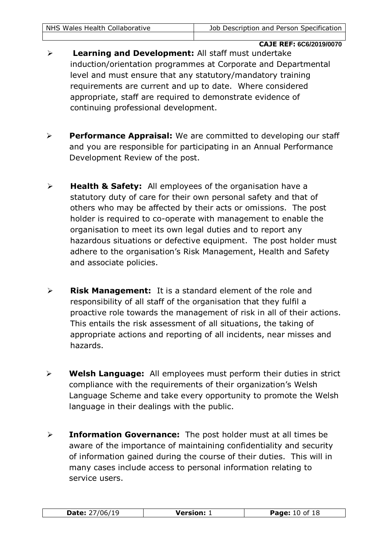- **Learning and Development:** All staff must undertake induction/orientation programmes at Corporate and Departmental level and must ensure that any statutory/mandatory training requirements are current and up to date. Where considered appropriate, staff are required to demonstrate evidence of continuing professional development.
- **Performance Appraisal:** We are committed to developing our staff and you are responsible for participating in an Annual Performance Development Review of the post.
- **Health & Safety:** All employees of the organisation have a statutory duty of care for their own personal safety and that of others who may be affected by their acts or omissions. The post holder is required to co-operate with management to enable the organisation to meet its own legal duties and to report any hazardous situations or defective equipment. The post holder must adhere to the organisation's Risk Management, Health and Safety and associate policies.
- **Risk Management:** It is a standard element of the role and responsibility of all staff of the organisation that they fulfil a proactive role towards the management of risk in all of their actions. This entails the risk assessment of all situations, the taking of appropriate actions and reporting of all incidents, near misses and hazards.
- **Welsh Language:** All employees must perform their duties in strict compliance with the requirements of their organization's Welsh Language Scheme and take every opportunity to promote the Welsh language in their dealings with the public.
- **Information Governance:** The post holder must at all times be aware of the importance of maintaining confidentiality and security of information gained during the course of their duties. This will in many cases include access to personal information relating to service users.

| Date:<br>16 | <b>Version:</b> | Page:<br>ΙÖ |
|-------------|-----------------|-------------|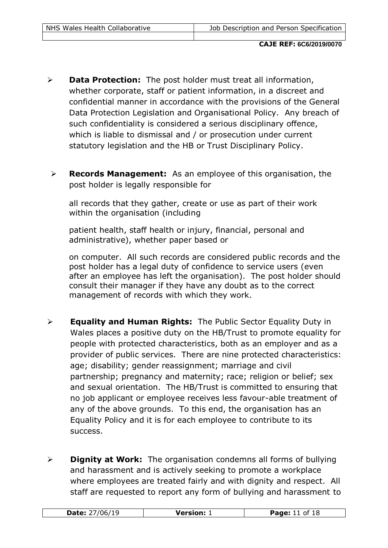- **Data Protection:** The post holder must treat all information, whether corporate, staff or patient information, in a discreet and confidential manner in accordance with the provisions of the General Data Protection Legislation and Organisational Policy. Any breach of such confidentiality is considered a serious disciplinary offence, which is liable to dismissal and / or prosecution under current statutory legislation and the HB or Trust Disciplinary Policy.
- **Records Management:** As an employee of this organisation, the post holder is legally responsible for

all records that they gather, create or use as part of their work within the organisation (including

patient health, staff health or injury, financial, personal and administrative), whether paper based or

on computer. All such records are considered public records and the post holder has a legal duty of confidence to service users (even after an employee has left the organisation). The post holder should consult their manager if they have any doubt as to the correct management of records with which they work.

- **Equality and Human Rights:** The Public Sector Equality Duty in Wales places a positive duty on the HB/Trust to promote equality for people with protected characteristics, both as an employer and as a provider of public services. There are nine protected characteristics: age; disability; gender reassignment; marriage and civil partnership; pregnancy and maternity; race; religion or belief; sex and sexual orientation. The HB/Trust is committed to ensuring that no job applicant or employee receives less favour-able treatment of any of the above grounds. To this end, the organisation has an Equality Policy and it is for each employee to contribute to its success.
- **Dignity at Work:** The organisation condemns all forms of bullying and harassment and is actively seeking to promote a workplace where employees are treated fairly and with dignity and respect. All staff are requested to report any form of bullying and harassment to

| .<br><b>Date:</b><br>$\sqrt{2}$ | Version: $\lrcorner$ | ιO<br>Page:<br>nt<br>ΙÖ |
|---------------------------------|----------------------|-------------------------|
|---------------------------------|----------------------|-------------------------|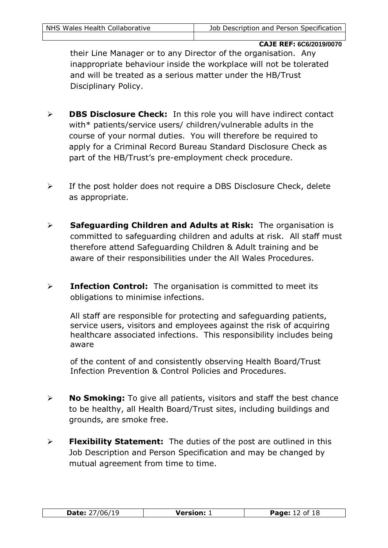their Line Manager or to any Director of the organisation. Any inappropriate behaviour inside the workplace will not be tolerated and will be treated as a serious matter under the HB/Trust Disciplinary Policy.

- **DBS Disclosure Check:** In this role you will have indirect contact with\* patients/service users/ children/vulnerable adults in the course of your normal duties. You will therefore be required to apply for a Criminal Record Bureau Standard Disclosure Check as part of the HB/Trust's pre-employment check procedure.
- $\triangleright$  If the post holder does not require a DBS Disclosure Check, delete as appropriate.
- **Safeguarding Children and Adults at Risk:** The organisation is committed to safeguarding children and adults at risk. All staff must therefore attend Safeguarding Children & Adult training and be aware of their responsibilities under the All Wales Procedures.
- **EXECTE: Infection Control:** The organisation is committed to meet its obligations to minimise infections.

All staff are responsible for protecting and safeguarding patients, service users, visitors and employees against the risk of acquiring healthcare associated infections. This responsibility includes being aware

of the content of and consistently observing Health Board/Trust Infection Prevention & Control Policies and Procedures.

- **No Smoking:** To give all patients, visitors and staff the best chance to be healthy, all Health Board/Trust sites, including buildings and grounds, are smoke free.
- **Flexibility Statement:** The duties of the post are outlined in this Job Description and Person Specification and may be changed by mutual agreement from time to time.

| Date:<br>1 L | Varcion: | יממכּם<br>ΤO |
|--------------|----------|--------------|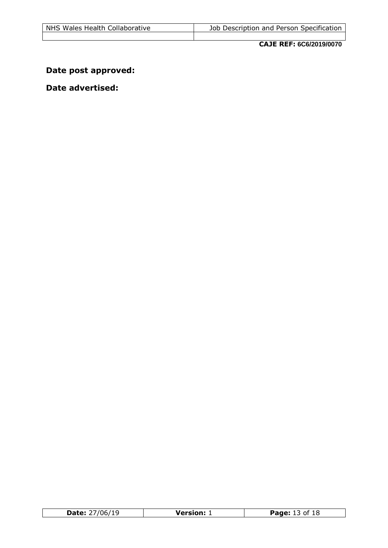# **Date post approved:**

#### **Date advertised:**

| ۸۲/۱۲/<br>Date: | Version: | f 18<br>Page: |
|-----------------|----------|---------------|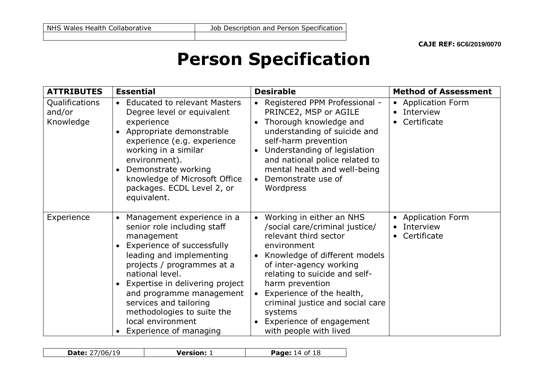# **Person Specification**

| <b>ATTRIBUTES</b>                     | <b>Essential</b>                                                                                                                                                                                                                                                                                                                                                                                | <b>Desirable</b>                                                                                                                                                                                                                                                                                                                                           | <b>Method of Assessment</b>                                                                |
|---------------------------------------|-------------------------------------------------------------------------------------------------------------------------------------------------------------------------------------------------------------------------------------------------------------------------------------------------------------------------------------------------------------------------------------------------|------------------------------------------------------------------------------------------------------------------------------------------------------------------------------------------------------------------------------------------------------------------------------------------------------------------------------------------------------------|--------------------------------------------------------------------------------------------|
| Qualifications<br>and/or<br>Knowledge | <b>Educated to relevant Masters</b><br>$\bullet$<br>Degree level or equivalent<br>experience<br>Appropriate demonstrable<br>$\bullet$<br>experience (e.g. experience<br>working in a similar<br>environment).<br>Demonstrate working<br>$\bullet$<br>knowledge of Microsoft Office<br>packages. ECDL Level 2, or<br>equivalent.                                                                 | • Registered PPM Professional -<br>PRINCE2, MSP or AGILE<br>Thorough knowledge and<br>understanding of suicide and<br>self-harm prevention<br>Understanding of legislation<br>and national police related to<br>mental health and well-being<br>Demonstrate use of<br>Wordpress                                                                            | <b>Application Form</b><br>$\bullet$<br>Interview<br>$\bullet$<br>Certificate<br>$\bullet$ |
| Experience                            | Management experience in a<br>$\bullet$<br>senior role including staff<br>management<br>Experience of successfully<br>$\bullet$<br>leading and implementing<br>projects / programmes at a<br>national level.<br>Expertise in delivering project<br>$\bullet$<br>and programme management<br>services and tailoring<br>methodologies to suite the<br>local environment<br>Experience of managing | • Working in either an NHS<br>/social care/criminal justice/<br>relevant third sector<br>environment<br>• Knowledge of different models<br>of inter-agency working<br>relating to suicide and self-<br>harm prevention<br>Experience of the health,<br>criminal justice and social care<br>systems<br>• Experience of engagement<br>with people with lived | <b>Application Form</b><br>$\bullet$<br>Interview<br>$\bullet$<br>Certificate<br>$\bullet$ |

| Date:<br>$\overline{\phantom{a}}$<br>--<br>$\overline{\phantom{0}}$ | 'arcian:<br>SIVII.<br>. | <b>Daga</b> i<br>--<br>7аое.<br>TO |
|---------------------------------------------------------------------|-------------------------|------------------------------------|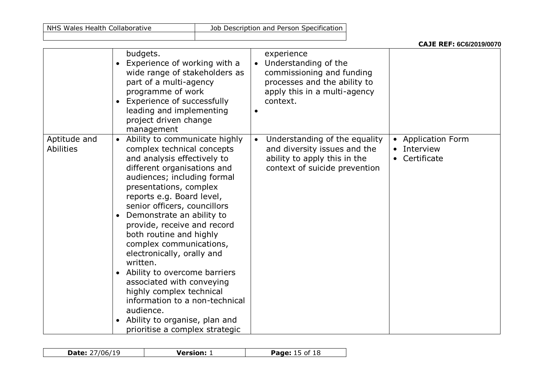NHS Wales Health Collaborative Job Description and Person Specification

|  |  | <b>CAJE REF: 6C6/2019/0070</b> |  |
|--|--|--------------------------------|--|
|--|--|--------------------------------|--|

|                                  | budgets.<br>Experience of working with a<br>$\bullet$<br>wide range of stakeholders as<br>part of a multi-agency<br>programme of work<br>Experience of successfully<br>leading and implementing<br>project driven change<br>management                                                                                                                                                                                                                                                                                                                                                                                                                        | experience<br>Understanding of the<br>commissioning and funding<br>processes and the ability to<br>apply this in a multi-agency<br>context.<br>$\bullet$ |                                                     |
|----------------------------------|---------------------------------------------------------------------------------------------------------------------------------------------------------------------------------------------------------------------------------------------------------------------------------------------------------------------------------------------------------------------------------------------------------------------------------------------------------------------------------------------------------------------------------------------------------------------------------------------------------------------------------------------------------------|----------------------------------------------------------------------------------------------------------------------------------------------------------|-----------------------------------------------------|
| Aptitude and<br><b>Abilities</b> | Ability to communicate highly<br>$\bullet$<br>complex technical concepts<br>and analysis effectively to<br>different organisations and<br>audiences; including formal<br>presentations, complex<br>reports e.g. Board level,<br>senior officers, councillors<br>Demonstrate an ability to<br>$\bullet$<br>provide, receive and record<br>both routine and highly<br>complex communications,<br>electronically, orally and<br>written.<br>Ability to overcome barriers<br>$\bullet$<br>associated with conveying<br>highly complex technical<br>information to a non-technical<br>audience.<br>Ability to organise, plan and<br>prioritise a complex strategic | Understanding of the equality<br>and diversity issues and the<br>ability to apply this in the<br>context of suicide prevention                           | <b>Application Form</b><br>Interview<br>Certificate |

| 'ባ6.<br>Date:<br>ם י | Version: | $+18$<br>of. |
|----------------------|----------|--------------|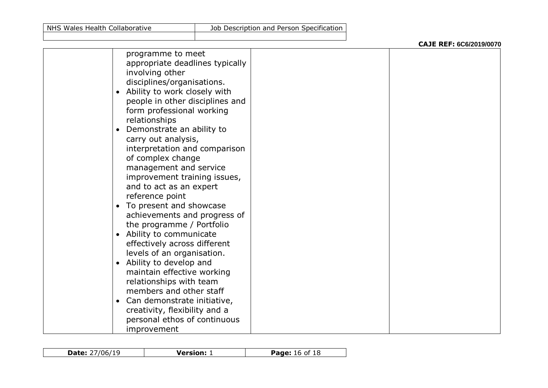|                                                                                                                                                                                                                                                                                                                                                                                                                                     |                                | CAJE REF: 6C6/2019/0070 |
|-------------------------------------------------------------------------------------------------------------------------------------------------------------------------------------------------------------------------------------------------------------------------------------------------------------------------------------------------------------------------------------------------------------------------------------|--------------------------------|-------------------------|
| programme to meet<br>appropriate deadlines typically<br>involving other<br>disciplines/organisations.<br>Ability to work closely with<br>$\bullet$<br>people in other disciplines and<br>form professional working<br>relationships<br>Demonstrate an ability to<br>carry out analysis,<br>interpretation and comparison<br>of complex change<br>management and service<br>improvement training issues,<br>and to act as an expert  |                                |                         |
| To present and showcase<br>$\bullet$<br>achievements and progress of<br>the programme / Portfolio<br>Ability to communicate<br>$\bullet$<br>effectively across different<br>levels of an organisation.<br>• Ability to develop and<br>maintain effective working<br>relationships with team<br>members and other staff<br>Can demonstrate initiative,<br>$\bullet$<br>creativity, flexibility and a<br>personal ethos of continuous |                                |                         |
|                                                                                                                                                                                                                                                                                                                                                                                                                                     | reference point<br>improvement |                         |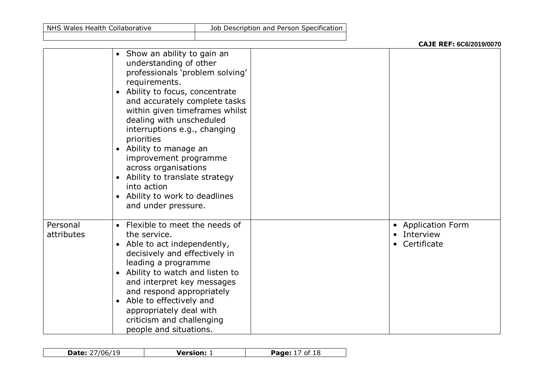|                        |                                                                                                                                                                                                                                                                                                                                                                                                                                                                                  | CAJE REF: 6C6/2019/0070                        |
|------------------------|----------------------------------------------------------------------------------------------------------------------------------------------------------------------------------------------------------------------------------------------------------------------------------------------------------------------------------------------------------------------------------------------------------------------------------------------------------------------------------|------------------------------------------------|
|                        | • Show an ability to gain an<br>understanding of other<br>professionals 'problem solving'<br>requirements.<br>• Ability to focus, concentrate<br>and accurately complete tasks<br>within given timeframes whilst<br>dealing with unscheduled<br>interruptions e.g., changing<br>priorities<br>• Ability to manage an<br>improvement programme<br>across organisations<br>• Ability to translate strategy<br>into action<br>• Ability to work to deadlines<br>and under pressure. |                                                |
| Personal<br>attributes | • Flexible to meet the needs of<br>the service.<br>• Able to act independently,<br>decisively and effectively in<br>leading a programme<br>• Ability to watch and listen to<br>and interpret key messages<br>and respond appropriately<br>• Able to effectively and<br>appropriately deal with<br>criticism and challenging<br>people and situations.                                                                                                                            | • Application Form<br>Interview<br>Certificate |

| 7/06,<br><b>Date:</b> 27<br>u | Version: | $\cdot$ 18<br>Page:<br>Οİ |
|-------------------------------|----------|---------------------------|